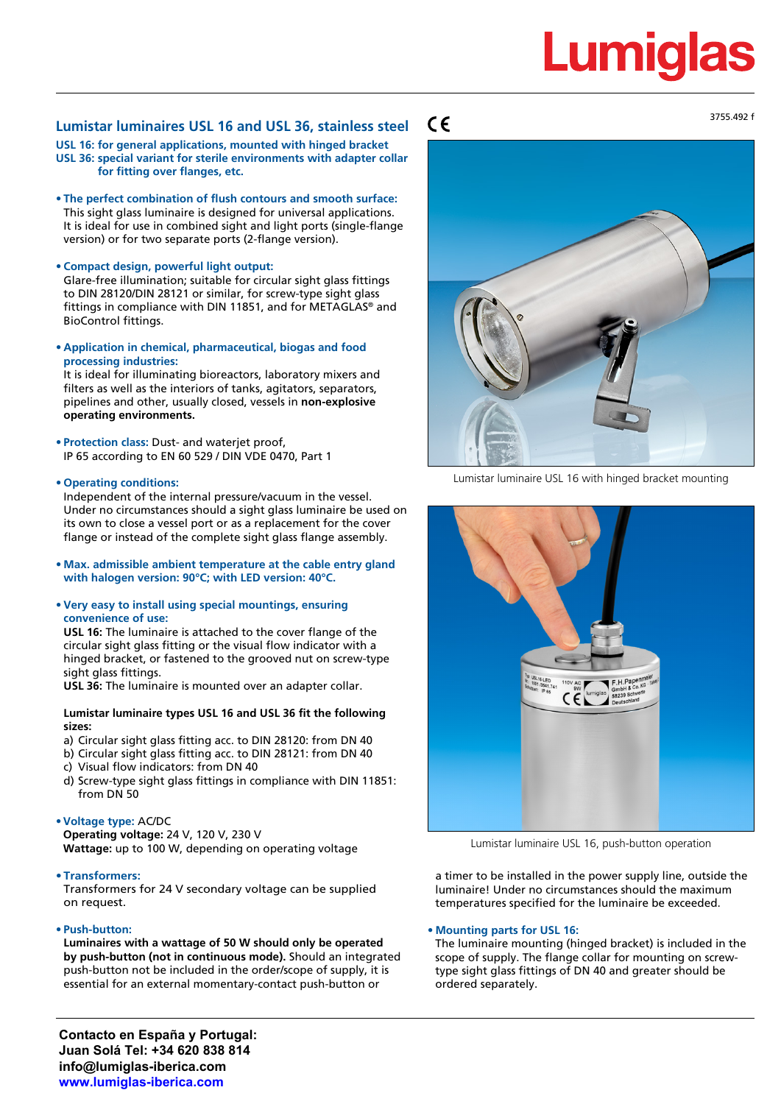## Lumiqla

### **Lumistar luminaires USL 16 and USL 36, stainless steel**

**USL 16: for general applications, mounted with hinged bracket USL 36: special variant for sterile environments with adapter collar for fitting over flanges, etc.**

- **• The perfect combination of flush contours and smooth surface:** This sight glass luminaire is designed for universal applications. It is ideal for use in combined sight and light ports (single-flange version) or for two separate ports (2-flange version).
- **• Compact design, powerful light output:**

Glare-free illumination; suitable for circular sight glass fittings to DIN 28120/DIN 28121 or similar, for screw-type sight glass fittings in compliance with DIN 11851, and for METAGLAS® and BioControl fittings.

**• Application in chemical, pharmaceutical, biogas and food processing industries:**

It is ideal for illuminating bioreactors, laboratory mixers and filters as well as the interiors of tanks, agitators, separators, pipelines and other, usually closed, vessels in **non-explosive operating environments.**

**• Protection class:** Dust- and waterjet proof, IP 65 according to EN 60 529 / DIN VDE 0470, Part 1

#### **• Operating conditions:**

Independent of the internal pressure/vacuum in the vessel. Under no circumstances should a sight glass luminaire be used on its own to close a vessel port or as a replacement for the cover flange or instead of the complete sight glass flange assembly.

**• Max. admissible ambient temperature at the cable entry gland with halogen version: 90°C; with LED version: 40°C.**

#### **• Very easy to install using special mountings, ensuring convenience of use:**

**USL 16:** The luminaire is attached to the cover flange of the circular sight glass fitting or the visual flow indicator with a hinged bracket, or fastened to the grooved nut on screw-type sight glass fittings.

**USL 36:** The luminaire is mounted over an adapter collar.

#### **Lumistar luminaire types USL 16 and USL 36 fit the following sizes:**

- a) Circular sight glass fitting acc. to DIN 28120: from DN 40
- b) Circular sight glass fitting acc. to DIN 28121: from DN 40
- c) Visual flow indicators: from DN 40
- d) Screw-type sight glass fittings in compliance with DIN 11851: from DN 50

#### **•Voltage type:** AC/DC

**Operating voltage:** 24 V, 120 V, 230 V **Wattage:** up to 100 W, depending on operating voltage

#### **• Transformers:**

Transformers for 24 V secondary voltage can be supplied on request.

#### **• Push-button:**

**Luminaires with a wattage of 50 W should only be operated by push-button (not in continuous mode).** Should an integrated push-button not be included in the order/scope of supply, it is essential for an external momentary-contact push-button or

 $\epsilon$ 



Lumistar luminaire USL 16 with hinged bracket mounting



Lumistar luminaire USL 16, push-button operation

a timer to be installed in the power supply line, outside the luminaire! Under no circumstances should the maximum temperatures specified for the luminaire be exceeded.

#### **• Mounting parts for USL 16:**

The luminaire mounting (hinged bracket) is included in the scope of supply. The flange collar for mounting on screwtype sight glass fittings of DN 40 and greater should be ordered separately.

**Contacto en España y Portugal: Juan Solá Tel: +34 620 838 814 info@lumiglas-iberica.com www.lumiglas-iberica.com**